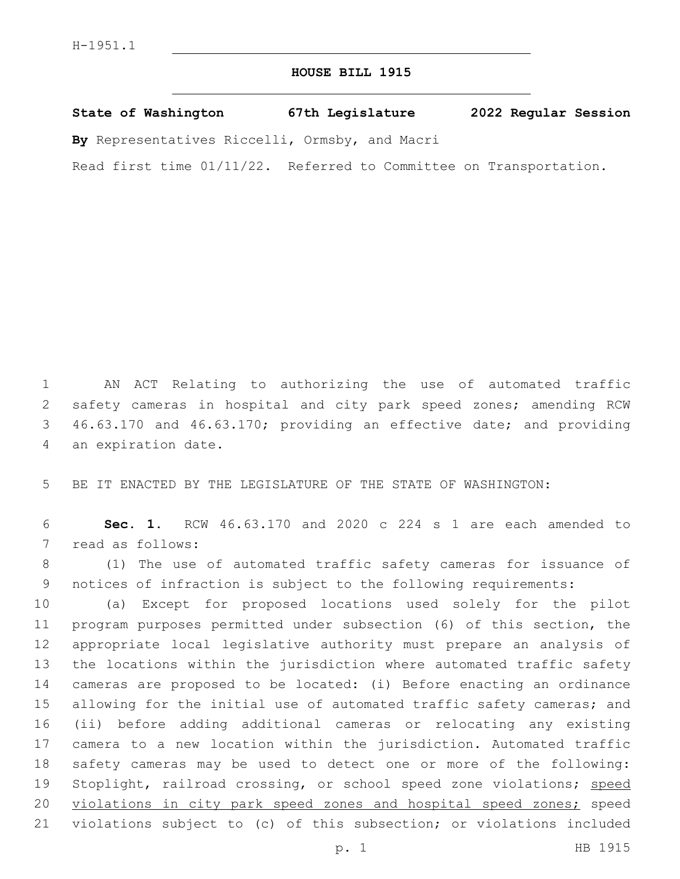## **HOUSE BILL 1915**

**State of Washington 67th Legislature 2022 Regular Session**

**By** Representatives Riccelli, Ormsby, and Macri

Read first time 01/11/22. Referred to Committee on Transportation.

 AN ACT Relating to authorizing the use of automated traffic safety cameras in hospital and city park speed zones; amending RCW 46.63.170 and 46.63.170; providing an effective date; and providing 4 an expiration date.

5 BE IT ENACTED BY THE LEGISLATURE OF THE STATE OF WASHINGTON:

6 **Sec. 1.** RCW 46.63.170 and 2020 c 224 s 1 are each amended to 7 read as follows:

8 (1) The use of automated traffic safety cameras for issuance of 9 notices of infraction is subject to the following requirements:

 (a) Except for proposed locations used solely for the pilot program purposes permitted under subsection (6) of this section, the appropriate local legislative authority must prepare an analysis of the locations within the jurisdiction where automated traffic safety cameras are proposed to be located: (i) Before enacting an ordinance 15 allowing for the initial use of automated traffic safety cameras; and (ii) before adding additional cameras or relocating any existing camera to a new location within the jurisdiction. Automated traffic safety cameras may be used to detect one or more of the following: 19 Stoplight, railroad crossing, or school speed zone violations; speed 20 violations in city park speed zones and hospital speed zones; speed violations subject to (c) of this subsection; or violations included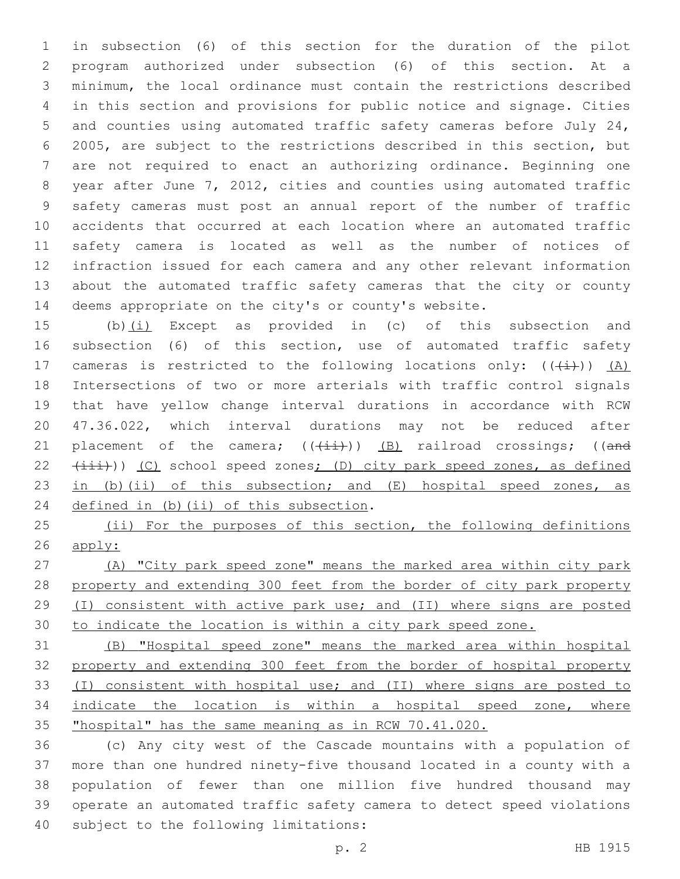in subsection (6) of this section for the duration of the pilot program authorized under subsection (6) of this section. At a minimum, the local ordinance must contain the restrictions described in this section and provisions for public notice and signage. Cities and counties using automated traffic safety cameras before July 24, 2005, are subject to the restrictions described in this section, but are not required to enact an authorizing ordinance. Beginning one year after June 7, 2012, cities and counties using automated traffic safety cameras must post an annual report of the number of traffic accidents that occurred at each location where an automated traffic safety camera is located as well as the number of notices of infraction issued for each camera and any other relevant information about the automated traffic safety cameras that the city or county deems appropriate on the city's or county's website.

 (b)(i) Except as provided in (c) of this subsection and subsection (6) of this section, use of automated traffic safety 17 cameras is restricted to the following locations only:  $((+i))$   $(A)$  Intersections of two or more arterials with traffic control signals that have yellow change interval durations in accordance with RCW 47.36.022, which interval durations may not be reduced after 21 placement of the camera;  $((+i+1)(n-1)(k+1))$  (B) railroad crossings; ((and  $(iii)$ ) (C) school speed zones; (D) city park speed zones, as defined 23 in (b)(ii) of this subsection; and  $(E)$  hospital speed zones, as 24 defined in (b)(ii) of this subsection.

25 (ii) For the purposes of this section, the following definitions apply:

 (A) "City park speed zone" means the marked area within city park 28 property and extending 300 feet from the border of city park property (I) consistent with active park use; and (II) where signs are posted to indicate the location is within a city park speed zone.

 (B) "Hospital speed zone" means the marked area within hospital property and extending 300 feet from the border of hospital property (I) consistent with hospital use; and (II) where signs are posted to indicate the location is within a hospital speed zone, where "hospital" has the same meaning as in RCW 70.41.020.

 (c) Any city west of the Cascade mountains with a population of more than one hundred ninety-five thousand located in a county with a population of fewer than one million five hundred thousand may operate an automated traffic safety camera to detect speed violations 40 subject to the following limitations: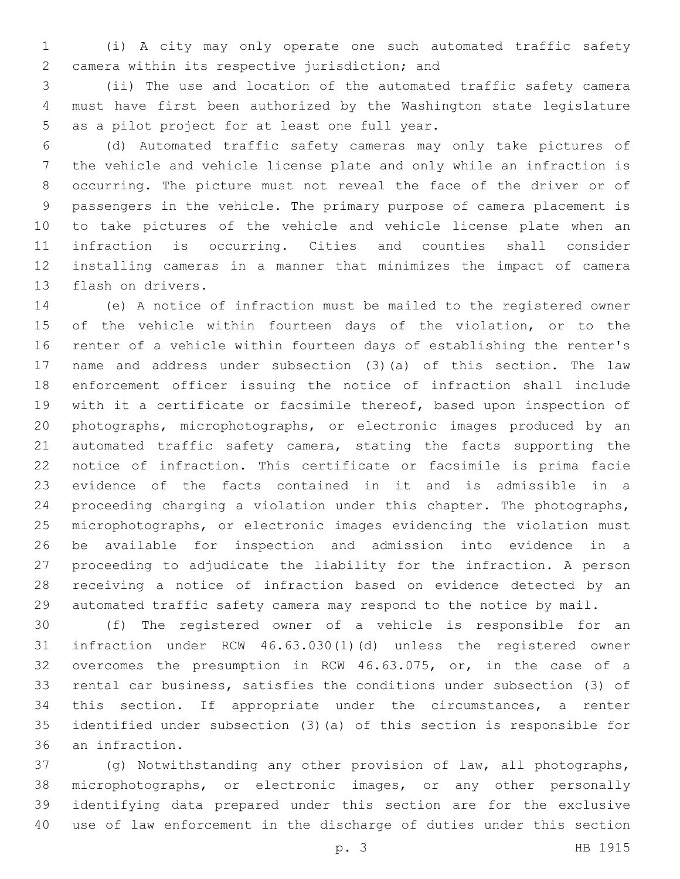(i) A city may only operate one such automated traffic safety camera within its respective jurisdiction; and2

 (ii) The use and location of the automated traffic safety camera must have first been authorized by the Washington state legislature 5 as a pilot project for at least one full year.

 (d) Automated traffic safety cameras may only take pictures of the vehicle and vehicle license plate and only while an infraction is occurring. The picture must not reveal the face of the driver or of passengers in the vehicle. The primary purpose of camera placement is to take pictures of the vehicle and vehicle license plate when an infraction is occurring. Cities and counties shall consider installing cameras in a manner that minimizes the impact of camera 13 flash on drivers.

 (e) A notice of infraction must be mailed to the registered owner of the vehicle within fourteen days of the violation, or to the renter of a vehicle within fourteen days of establishing the renter's name and address under subsection (3)(a) of this section. The law enforcement officer issuing the notice of infraction shall include with it a certificate or facsimile thereof, based upon inspection of photographs, microphotographs, or electronic images produced by an automated traffic safety camera, stating the facts supporting the notice of infraction. This certificate or facsimile is prima facie evidence of the facts contained in it and is admissible in a proceeding charging a violation under this chapter. The photographs, microphotographs, or electronic images evidencing the violation must be available for inspection and admission into evidence in a proceeding to adjudicate the liability for the infraction. A person receiving a notice of infraction based on evidence detected by an automated traffic safety camera may respond to the notice by mail.

 (f) The registered owner of a vehicle is responsible for an infraction under RCW 46.63.030(1)(d) unless the registered owner overcomes the presumption in RCW 46.63.075, or, in the case of a rental car business, satisfies the conditions under subsection (3) of this section. If appropriate under the circumstances, a renter identified under subsection (3)(a) of this section is responsible for 36 an infraction.

 (g) Notwithstanding any other provision of law, all photographs, microphotographs, or electronic images, or any other personally identifying data prepared under this section are for the exclusive use of law enforcement in the discharge of duties under this section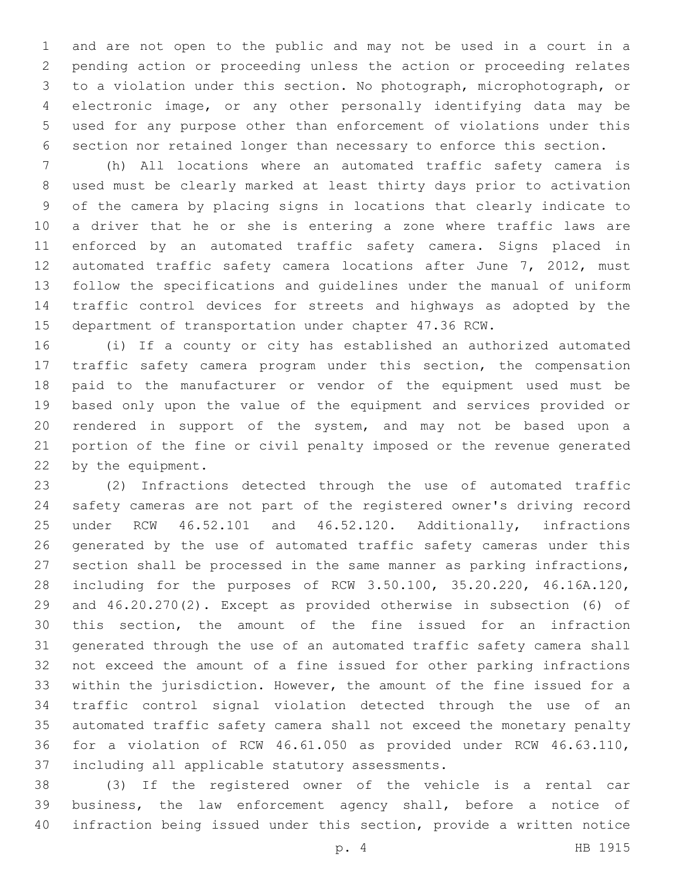and are not open to the public and may not be used in a court in a pending action or proceeding unless the action or proceeding relates to a violation under this section. No photograph, microphotograph, or electronic image, or any other personally identifying data may be used for any purpose other than enforcement of violations under this section nor retained longer than necessary to enforce this section.

 (h) All locations where an automated traffic safety camera is used must be clearly marked at least thirty days prior to activation of the camera by placing signs in locations that clearly indicate to a driver that he or she is entering a zone where traffic laws are enforced by an automated traffic safety camera. Signs placed in automated traffic safety camera locations after June 7, 2012, must follow the specifications and guidelines under the manual of uniform traffic control devices for streets and highways as adopted by the department of transportation under chapter 47.36 RCW.

 (i) If a county or city has established an authorized automated traffic safety camera program under this section, the compensation paid to the manufacturer or vendor of the equipment used must be based only upon the value of the equipment and services provided or rendered in support of the system, and may not be based upon a portion of the fine or civil penalty imposed or the revenue generated 22 by the equipment.

 (2) Infractions detected through the use of automated traffic safety cameras are not part of the registered owner's driving record under RCW 46.52.101 and 46.52.120. Additionally, infractions generated by the use of automated traffic safety cameras under this section shall be processed in the same manner as parking infractions, including for the purposes of RCW 3.50.100, 35.20.220, 46.16A.120, and 46.20.270(2). Except as provided otherwise in subsection (6) of this section, the amount of the fine issued for an infraction generated through the use of an automated traffic safety camera shall not exceed the amount of a fine issued for other parking infractions within the jurisdiction. However, the amount of the fine issued for a traffic control signal violation detected through the use of an automated traffic safety camera shall not exceed the monetary penalty for a violation of RCW 46.61.050 as provided under RCW 46.63.110, 37 including all applicable statutory assessments.

 (3) If the registered owner of the vehicle is a rental car business, the law enforcement agency shall, before a notice of infraction being issued under this section, provide a written notice

p. 4 HB 1915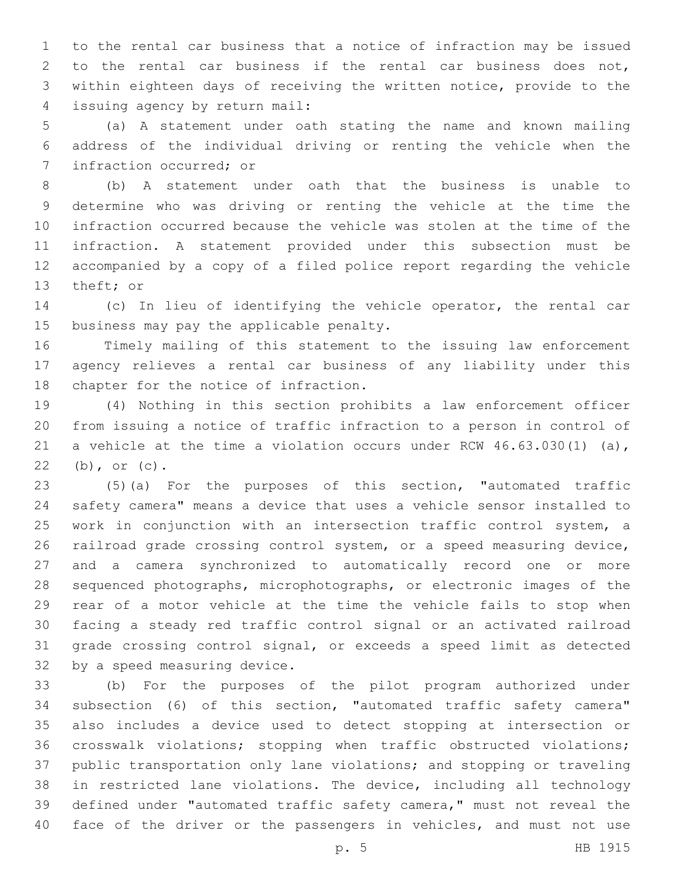to the rental car business that a notice of infraction may be issued to the rental car business if the rental car business does not, within eighteen days of receiving the written notice, provide to the issuing agency by return mail:4

 (a) A statement under oath stating the name and known mailing address of the individual driving or renting the vehicle when the 7 infraction occurred; or

 (b) A statement under oath that the business is unable to determine who was driving or renting the vehicle at the time the infraction occurred because the vehicle was stolen at the time of the infraction. A statement provided under this subsection must be accompanied by a copy of a filed police report regarding the vehicle 13 theft; or

 (c) In lieu of identifying the vehicle operator, the rental car 15 business may pay the applicable penalty.

 Timely mailing of this statement to the issuing law enforcement agency relieves a rental car business of any liability under this 18 chapter for the notice of infraction.

 (4) Nothing in this section prohibits a law enforcement officer from issuing a notice of traffic infraction to a person in control of a vehicle at the time a violation occurs under RCW 46.63.030(1) (a), 22 (b), or (c).

 (5)(a) For the purposes of this section, "automated traffic safety camera" means a device that uses a vehicle sensor installed to work in conjunction with an intersection traffic control system, a railroad grade crossing control system, or a speed measuring device, and a camera synchronized to automatically record one or more sequenced photographs, microphotographs, or electronic images of the rear of a motor vehicle at the time the vehicle fails to stop when facing a steady red traffic control signal or an activated railroad grade crossing control signal, or exceeds a speed limit as detected 32 by a speed measuring device.

 (b) For the purposes of the pilot program authorized under subsection (6) of this section, "automated traffic safety camera" also includes a device used to detect stopping at intersection or crosswalk violations; stopping when traffic obstructed violations; public transportation only lane violations; and stopping or traveling in restricted lane violations. The device, including all technology defined under "automated traffic safety camera," must not reveal the face of the driver or the passengers in vehicles, and must not use

p. 5 HB 1915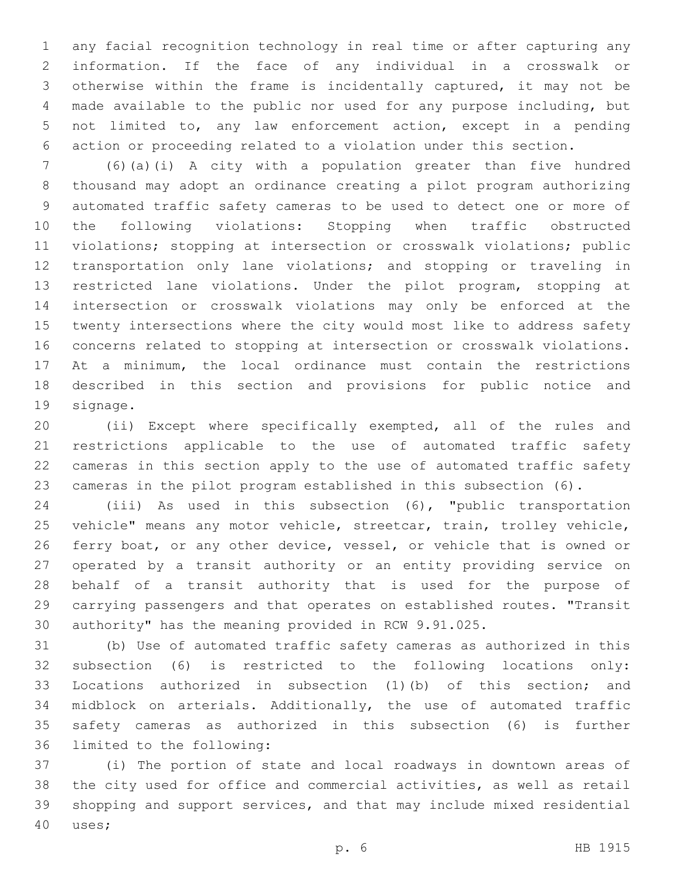any facial recognition technology in real time or after capturing any information. If the face of any individual in a crosswalk or otherwise within the frame is incidentally captured, it may not be made available to the public nor used for any purpose including, but not limited to, any law enforcement action, except in a pending action or proceeding related to a violation under this section.

 (6)(a)(i) A city with a population greater than five hundred thousand may adopt an ordinance creating a pilot program authorizing automated traffic safety cameras to be used to detect one or more of the following violations: Stopping when traffic obstructed violations; stopping at intersection or crosswalk violations; public transportation only lane violations; and stopping or traveling in restricted lane violations. Under the pilot program, stopping at intersection or crosswalk violations may only be enforced at the twenty intersections where the city would most like to address safety concerns related to stopping at intersection or crosswalk violations. At a minimum, the local ordinance must contain the restrictions described in this section and provisions for public notice and 19 signage.

 (ii) Except where specifically exempted, all of the rules and restrictions applicable to the use of automated traffic safety cameras in this section apply to the use of automated traffic safety cameras in the pilot program established in this subsection (6).

 (iii) As used in this subsection (6), "public transportation vehicle" means any motor vehicle, streetcar, train, trolley vehicle, ferry boat, or any other device, vessel, or vehicle that is owned or operated by a transit authority or an entity providing service on behalf of a transit authority that is used for the purpose of carrying passengers and that operates on established routes. "Transit authority" has the meaning provided in RCW 9.91.025.

 (b) Use of automated traffic safety cameras as authorized in this subsection (6) is restricted to the following locations only: Locations authorized in subsection (1)(b) of this section; and midblock on arterials. Additionally, the use of automated traffic safety cameras as authorized in this subsection (6) is further 36 limited to the following:

 (i) The portion of state and local roadways in downtown areas of the city used for office and commercial activities, as well as retail shopping and support services, and that may include mixed residential 40 uses;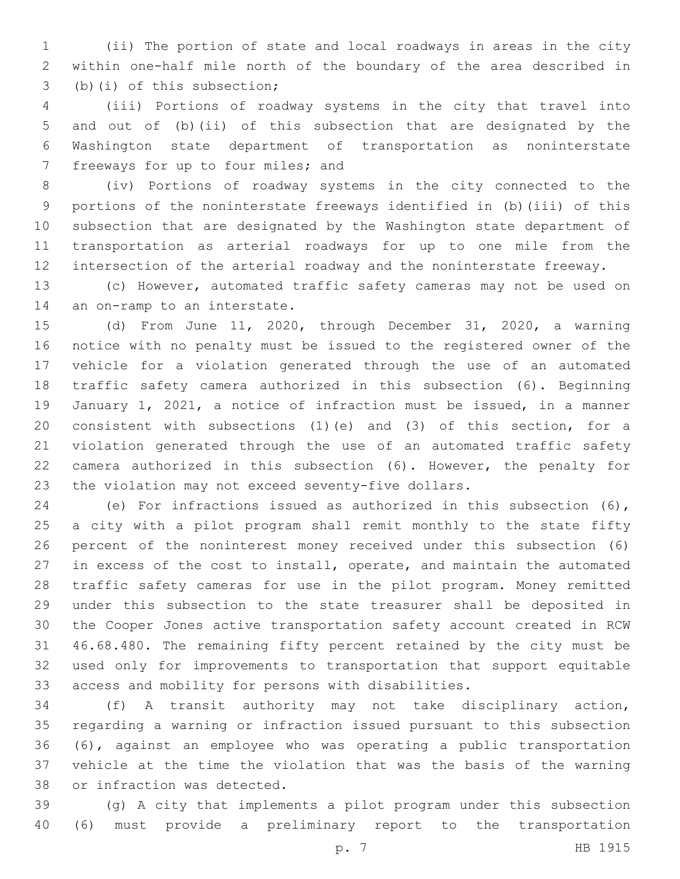(ii) The portion of state and local roadways in areas in the city within one-half mile north of the boundary of the area described in 3 (b)(i) of this subsection;

 (iii) Portions of roadway systems in the city that travel into and out of (b)(ii) of this subsection that are designated by the Washington state department of transportation as noninterstate 7 freeways for up to four miles; and

 (iv) Portions of roadway systems in the city connected to the portions of the noninterstate freeways identified in (b)(iii) of this subsection that are designated by the Washington state department of transportation as arterial roadways for up to one mile from the intersection of the arterial roadway and the noninterstate freeway.

 (c) However, automated traffic safety cameras may not be used on 14 an on-ramp to an interstate.

 (d) From June 11, 2020, through December 31, 2020, a warning notice with no penalty must be issued to the registered owner of the vehicle for a violation generated through the use of an automated traffic safety camera authorized in this subsection (6). Beginning January 1, 2021, a notice of infraction must be issued, in a manner consistent with subsections (1)(e) and (3) of this section, for a violation generated through the use of an automated traffic safety camera authorized in this subsection (6). However, the penalty for the violation may not exceed seventy-five dollars.

 (e) For infractions issued as authorized in this subsection (6), a city with a pilot program shall remit monthly to the state fifty percent of the noninterest money received under this subsection (6) in excess of the cost to install, operate, and maintain the automated traffic safety cameras for use in the pilot program. Money remitted under this subsection to the state treasurer shall be deposited in the Cooper Jones active transportation safety account created in RCW 46.68.480. The remaining fifty percent retained by the city must be used only for improvements to transportation that support equitable access and mobility for persons with disabilities.

 (f) A transit authority may not take disciplinary action, regarding a warning or infraction issued pursuant to this subsection (6), against an employee who was operating a public transportation vehicle at the time the violation that was the basis of the warning 38 or infraction was detected.

 (g) A city that implements a pilot program under this subsection (6) must provide a preliminary report to the transportation

p. 7 HB 1915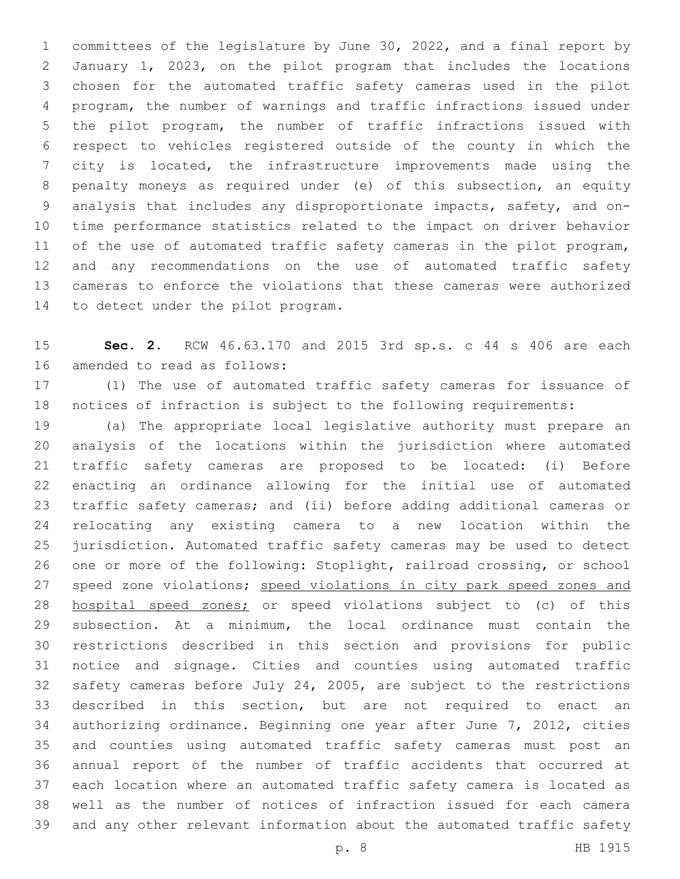committees of the legislature by June 30, 2022, and a final report by January 1, 2023, on the pilot program that includes the locations chosen for the automated traffic safety cameras used in the pilot program, the number of warnings and traffic infractions issued under the pilot program, the number of traffic infractions issued with respect to vehicles registered outside of the county in which the city is located, the infrastructure improvements made using the penalty moneys as required under (e) of this subsection, an equity analysis that includes any disproportionate impacts, safety, and on- time performance statistics related to the impact on driver behavior 11 of the use of automated traffic safety cameras in the pilot program, and any recommendations on the use of automated traffic safety cameras to enforce the violations that these cameras were authorized 14 to detect under the pilot program.

 **Sec. 2.** RCW 46.63.170 and 2015 3rd sp.s. c 44 s 406 are each 16 amended to read as follows:

 (1) The use of automated traffic safety cameras for issuance of notices of infraction is subject to the following requirements:

 (a) The appropriate local legislative authority must prepare an analysis of the locations within the jurisdiction where automated traffic safety cameras are proposed to be located: (i) Before enacting an ordinance allowing for the initial use of automated traffic safety cameras; and (ii) before adding additional cameras or relocating any existing camera to a new location within the jurisdiction. Automated traffic safety cameras may be used to detect one or more of the following: Stoplight, railroad crossing, or school 27 speed zone violations; speed violations in city park speed zones and hospital speed zones; or speed violations subject to (c) of this subsection. At a minimum, the local ordinance must contain the restrictions described in this section and provisions for public notice and signage. Cities and counties using automated traffic safety cameras before July 24, 2005, are subject to the restrictions described in this section, but are not required to enact an authorizing ordinance. Beginning one year after June 7, 2012, cities and counties using automated traffic safety cameras must post an annual report of the number of traffic accidents that occurred at each location where an automated traffic safety camera is located as well as the number of notices of infraction issued for each camera and any other relevant information about the automated traffic safety

p. 8 HB 1915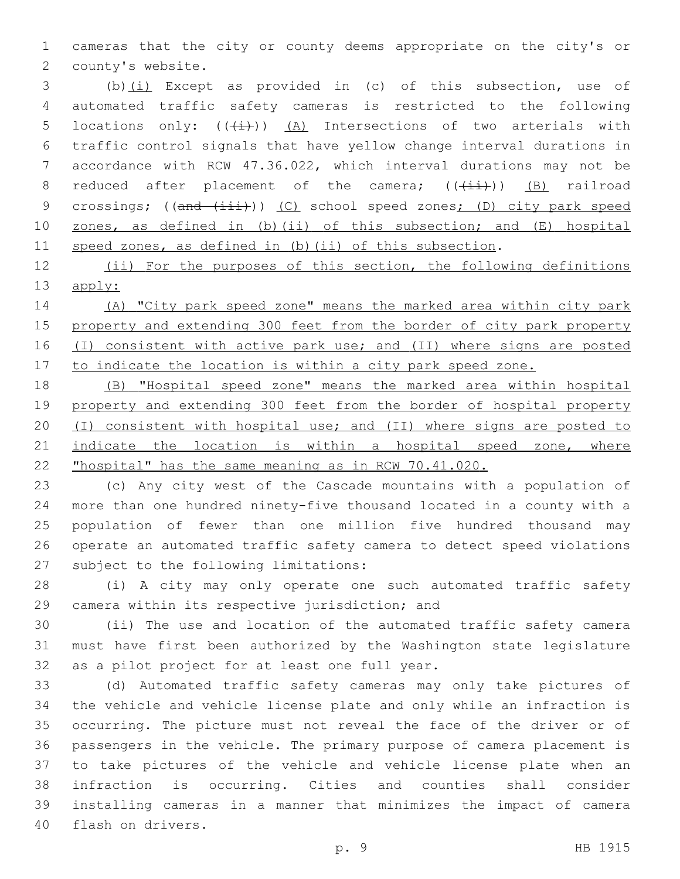cameras that the city or county deems appropriate on the city's or 2 county's website.

 (b)(i) Except as provided in (c) of this subsection, use of automated traffic safety cameras is restricted to the following 5 locations only:  $((\downarrow \downarrow))$   $(A)$  Intersections of two arterials with traffic control signals that have yellow change interval durations in accordance with RCW 47.36.022, which interval durations may not be 8 reduced after placement of the camera;  $((+i+1)(n-1))$  (B) railroad 9 crossings; ((and (iii))) (C) school speed zones; (D) city park speed zones, as defined in (b)(ii) of this subsection; and (E) hospital speed zones, as defined in (b)(ii) of this subsection.

12 (ii) For the purposes of this section, the following definitions apply:

 (A) "City park speed zone" means the marked area within city park property and extending 300 feet from the border of city park property (I) consistent with active park use; and (II) where signs are posted 17 to indicate the location is within a city park speed zone.

 (B) "Hospital speed zone" means the marked area within hospital property and extending 300 feet from the border of hospital property (I) consistent with hospital use; and (II) where signs are posted to 21 indicate the location is within a hospital speed zone, where "hospital" has the same meaning as in RCW 70.41.020.

 (c) Any city west of the Cascade mountains with a population of more than one hundred ninety-five thousand located in a county with a population of fewer than one million five hundred thousand may operate an automated traffic safety camera to detect speed violations 27 subject to the following limitations:

 (i) A city may only operate one such automated traffic safety 29 camera within its respective jurisdiction; and

 (ii) The use and location of the automated traffic safety camera must have first been authorized by the Washington state legislature 32 as a pilot project for at least one full year.

 (d) Automated traffic safety cameras may only take pictures of the vehicle and vehicle license plate and only while an infraction is occurring. The picture must not reveal the face of the driver or of passengers in the vehicle. The primary purpose of camera placement is to take pictures of the vehicle and vehicle license plate when an infraction is occurring. Cities and counties shall consider installing cameras in a manner that minimizes the impact of camera 40 flash on drivers.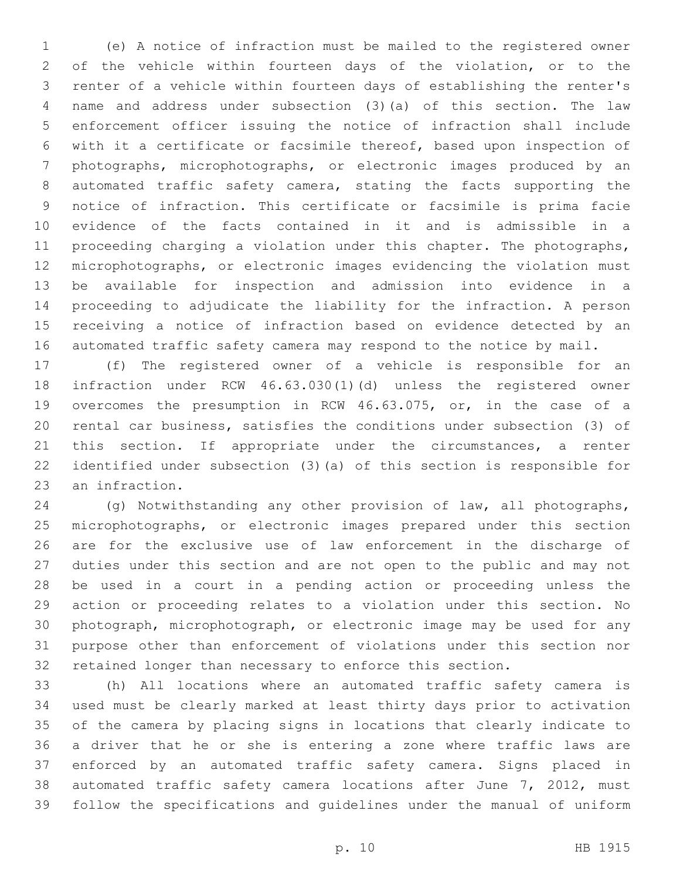(e) A notice of infraction must be mailed to the registered owner of the vehicle within fourteen days of the violation, or to the renter of a vehicle within fourteen days of establishing the renter's name and address under subsection (3)(a) of this section. The law enforcement officer issuing the notice of infraction shall include with it a certificate or facsimile thereof, based upon inspection of photographs, microphotographs, or electronic images produced by an automated traffic safety camera, stating the facts supporting the notice of infraction. This certificate or facsimile is prima facie evidence of the facts contained in it and is admissible in a 11 proceeding charging a violation under this chapter. The photographs, microphotographs, or electronic images evidencing the violation must be available for inspection and admission into evidence in a proceeding to adjudicate the liability for the infraction. A person receiving a notice of infraction based on evidence detected by an automated traffic safety camera may respond to the notice by mail.

 (f) The registered owner of a vehicle is responsible for an infraction under RCW 46.63.030(1)(d) unless the registered owner overcomes the presumption in RCW 46.63.075, or, in the case of a rental car business, satisfies the conditions under subsection (3) of 21 this section. If appropriate under the circumstances, a renter identified under subsection (3)(a) of this section is responsible for 23 an infraction.

 (g) Notwithstanding any other provision of law, all photographs, microphotographs, or electronic images prepared under this section are for the exclusive use of law enforcement in the discharge of duties under this section and are not open to the public and may not be used in a court in a pending action or proceeding unless the action or proceeding relates to a violation under this section. No photograph, microphotograph, or electronic image may be used for any purpose other than enforcement of violations under this section nor retained longer than necessary to enforce this section.

 (h) All locations where an automated traffic safety camera is used must be clearly marked at least thirty days prior to activation of the camera by placing signs in locations that clearly indicate to a driver that he or she is entering a zone where traffic laws are enforced by an automated traffic safety camera. Signs placed in automated traffic safety camera locations after June 7, 2012, must follow the specifications and guidelines under the manual of uniform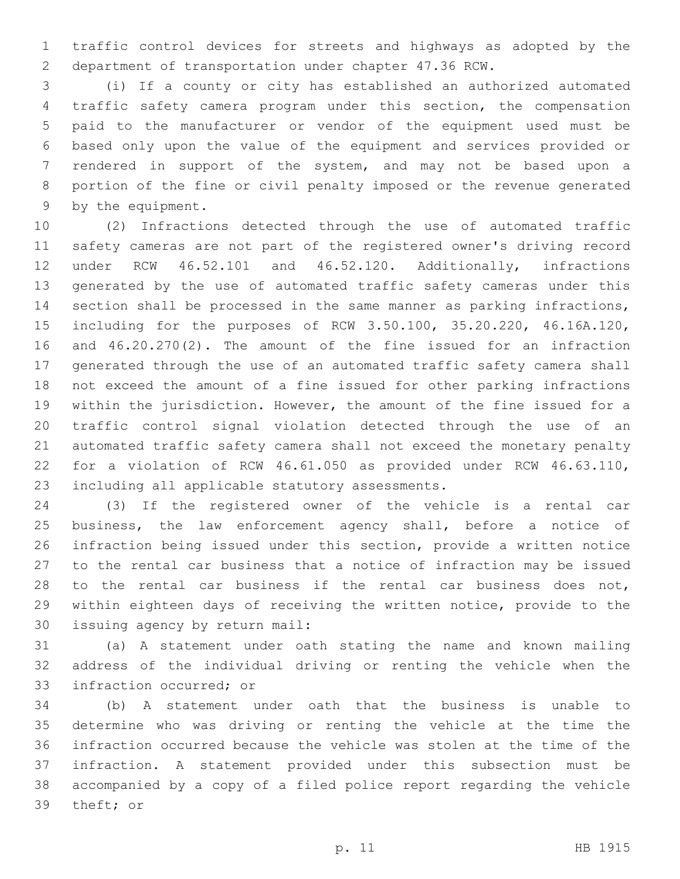traffic control devices for streets and highways as adopted by the department of transportation under chapter 47.36 RCW.

 (i) If a county or city has established an authorized automated traffic safety camera program under this section, the compensation paid to the manufacturer or vendor of the equipment used must be based only upon the value of the equipment and services provided or rendered in support of the system, and may not be based upon a portion of the fine or civil penalty imposed or the revenue generated 9 by the equipment.

 (2) Infractions detected through the use of automated traffic safety cameras are not part of the registered owner's driving record under RCW 46.52.101 and 46.52.120. Additionally, infractions generated by the use of automated traffic safety cameras under this section shall be processed in the same manner as parking infractions, including for the purposes of RCW 3.50.100, 35.20.220, 46.16A.120, and 46.20.270(2). The amount of the fine issued for an infraction generated through the use of an automated traffic safety camera shall not exceed the amount of a fine issued for other parking infractions within the jurisdiction. However, the amount of the fine issued for a traffic control signal violation detected through the use of an automated traffic safety camera shall not exceed the monetary penalty for a violation of RCW 46.61.050 as provided under RCW 46.63.110, 23 including all applicable statutory assessments.

 (3) If the registered owner of the vehicle is a rental car business, the law enforcement agency shall, before a notice of infraction being issued under this section, provide a written notice to the rental car business that a notice of infraction may be issued to the rental car business if the rental car business does not, within eighteen days of receiving the written notice, provide to the 30 issuing agency by return mail:

 (a) A statement under oath stating the name and known mailing address of the individual driving or renting the vehicle when the 33 infraction occurred; or

 (b) A statement under oath that the business is unable to determine who was driving or renting the vehicle at the time the infraction occurred because the vehicle was stolen at the time of the infraction. A statement provided under this subsection must be accompanied by a copy of a filed police report regarding the vehicle 39 theft; or